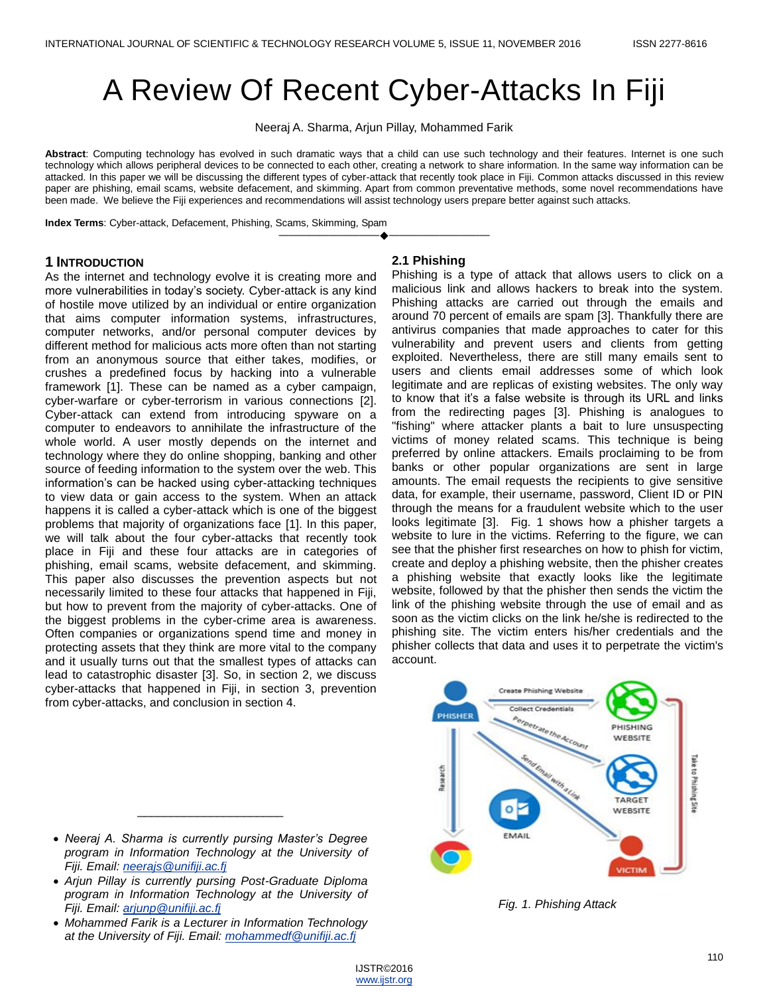# A Review Of Recent Cyber-Attacks In Fiji

Neeraj A. Sharma, Arjun Pillay, Mohammed Farik

**Abstract**: Computing technology has evolved in such dramatic ways that a child can use such technology and their features. Internet is one such technology which allows peripheral devices to be connected to each other, creating a network to share information. In the same way information can be attacked. In this paper we will be discussing the different types of cyber-attack that recently took place in Fiji. Common attacks discussed in this review paper are phishing, email scams, website defacement, and skimming. Apart from common preventative methods, some novel recommendations have been made. We believe the Fiji experiences and recommendations will assist technology users prepare better against such attacks.

————————————————————

**Index Terms**: Cyber-attack, Defacement, Phishing, Scams, Skimming, Spam

#### **1 INTRODUCTION**

As the internet and technology evolve it is creating more and more vulnerabilities in today's society. Cyber-attack is any kind of hostile move utilized by an individual or entire organization that aims computer information systems, infrastructures, computer networks, and/or personal computer devices by different method for malicious acts more often than not starting from an anonymous source that either takes, modifies, or crushes a predefined focus by hacking into a vulnerable framework [\[1\]](#page-4-0). These can be named as a cyber campaign, cyber-warfare or cyber-terrorism in various connections [\[2\]](#page-4-1). Cyber-attack can extend from introducing spyware on a computer to endeavors to annihilate the infrastructure of the whole world. A user mostly depends on the internet and technology where they do online shopping, banking and other source of feeding information to the system over the web. This information's can be hacked using cyber-attacking techniques to view data or gain access to the system. When an attack happens it is called a cyber-attack which is one of the biggest problems that majority of organizations face [\[1\]](#page-4-0). In this paper, we will talk about the four cyber-attacks that recently took place in Fiji and these four attacks are in categories of phishing, email scams, website defacement, and skimming. This paper also discusses the prevention aspects but not necessarily limited to these four attacks that happened in Fiji, but how to prevent from the majority of cyber-attacks. One of the biggest problems in the cyber-crime area is awareness. Often companies or organizations spend time and money in protecting assets that they think are more vital to the company and it usually turns out that the smallest types of attacks can lead to catastrophic disaster [\[3\]](#page-4-2). So, in section 2, we discuss cyber-attacks that happened in Fiji, in section 3, prevention from cyber-attacks, and conclusion in section 4.

#### **2.1 Phishing**

Phishing is a type of attack that allows users to click on a malicious link and allows hackers to break into the system. Phishing attacks are carried out through the emails and around 70 percent of emails are spam [\[3\]](#page-4-2). Thankfully there are antivirus companies that made approaches to cater for this vulnerability and prevent users and clients from getting exploited. Nevertheless, there are still many emails sent to users and clients email addresses some of which look legitimate and are replicas of existing websites. The only way to know that it's a false website is through its URL and links from the redirecting pages [\[3\]](#page-4-2). Phishing is analogues to "fishing" where attacker plants a bait to lure unsuspecting victims of money related scams. This technique is being preferred by online attackers. Emails proclaiming to be from banks or other popular organizations are sent in large amounts. The email requests the recipients to give sensitive data, for example, their username, password, Client ID or PIN through the means for a fraudulent website which to the user looks legitimate [\[3\]](#page-4-2). Fig. 1 shows how a phisher targets a website to lure in the victims. Referring to the figure, we can see that the phisher first researches on how to phish for victim, create and deploy a phishing website, then the phisher creates a phishing website that exactly looks like the legitimate website, followed by that the phisher then sends the victim the link of the phishing website through the use of email and as soon as the victim clicks on the link he/she is redirected to the phishing site. The victim enters his/her credentials and the phisher collects that data and uses it to perpetrate the victim's account.



*Fig. 1. Phishing Attack*

**•** Neeraj A. Sharma is currently pursing Master's Degree *program in Information Technology at the University of program in Information Technology at the University of* and even individual user or client computers, as experienced *Fiji. Email: [neerajs@unifiji.ac.fj](mailto:neerajs@unifiji.ac.fj)*

\_\_\_\_\_\_\_\_\_\_\_\_\_\_\_\_\_\_\_\_\_\_

**2 CYBER-ATTACK IN FIJI**

- *in*<sub>i</sub>. Email: *<u>hodage sumin, asin</u>***</u>**<br>• Arjun Pillay is currently pursing Post-Graduate Diploma s Alfair I may is callenity parsing these changed biplomates through the various threats the countries of program in Information Technology at the University of<br>Fiji Emoil: eriupp@unifiji.co.fi *Fiji. Email: [arjunp@unifiji.ac.fj](mailto:arjunp@unifiji.ac.fj)*
- *i*n: *Email: dijanie Saminicasin*<br>• Mohammed Farik is a Lecturer in Information Technology *at the University of Fiji. Email: [mohammedf@unifiji.ac.fj](mailto:mohammedf@unifiji.ac.fj)*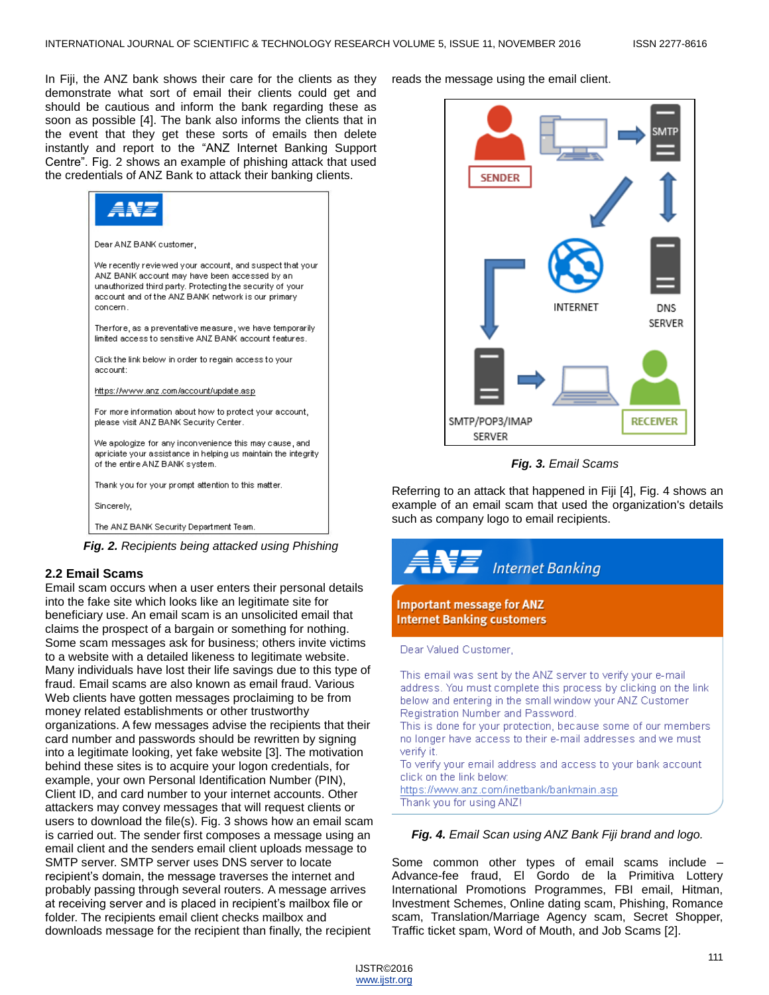In Fiji, the ANZ bank shows their care for the clients as they demonstrate what sort of email their clients could get and should be cautious and inform the bank regarding these as soon as possible [\[4\]](#page-4-3). The bank also informs the clients that in the event that they get these sorts of emails then delete instantly and report to the "ANZ Internet Banking Support Centre". Fig. 2 shows an example of phishing attack that used the credentials of ANZ Bank to attack their banking clients.

| ANE                                                                                                                                                                                                                                      |
|------------------------------------------------------------------------------------------------------------------------------------------------------------------------------------------------------------------------------------------|
| Dear ANZ BANK customer,                                                                                                                                                                                                                  |
| We recently reviewed your account, and suspect that your<br>ANZ BANK account may have been accessed by an<br>unauthorized third party. Protecting the security of your<br>account and of the ANZ BANK network is our primary<br>concern. |
| Therfore, as a preventative measure, we have temporarily<br>limited access to sensitive ANZ BANK account features.                                                                                                                       |
| Click the link below in order to regain access to your<br>account:                                                                                                                                                                       |
| https://www.anz.com/account/update.asp                                                                                                                                                                                                   |
| For more information about how to protect your account.<br>please visit ANZ BANK Security Center.                                                                                                                                        |
| We apologize for any inconvenience this may cause, and<br>apriciate your assistance in helping us maintain the integrity<br>of the entire ANZ BANK system.                                                                               |
| Thank you for your prompt attention to this matter.                                                                                                                                                                                      |
| Sincerely,                                                                                                                                                                                                                               |
| The ANZ BANK Security Department Team.                                                                                                                                                                                                   |

*Fig. 2. Recipients being attacked using Phishing*

# **2.2 Email Scams**

Email scam occurs when a user enters their personal details into the fake site which looks like an legitimate site for beneficiary use. An email scam is an unsolicited email that claims the prospect of a bargain or something for nothing. Some scam messages ask for business; others invite victims to a website with a detailed likeness to legitimate website. Many individuals have lost their life savings due to this type of fraud. Email scams are also known as email fraud. Various Web clients have gotten messages proclaiming to be from money related establishments or other trustworthy organizations. A few messages advise the recipients that their card number and passwords should be rewritten by signing into a legitimate looking, yet fake website [\[3\]](#page-4-2). The motivation behind these sites is to acquire your logon credentials, for example, your own Personal Identification Number (PIN), Client ID, and card number to your internet accounts. Other attackers may convey messages that will request clients or users to download the file(s). Fig. 3 shows how an email scam is carried out. The sender first composes a message using an email client and the senders email client uploads message to SMTP server. SMTP server uses DNS server to locate recipient's domain, the message traverses the internet and probably passing through several routers. A message arrives at receiving server and is placed in recipient's mailbox file or folder. The recipients email client checks mailbox and downloads message for the recipient than finally, the recipient

#### reads the message using the email client.



*Fig. 3. Email Scams*

Referring to an attack that happened in Fiji [\[4\]](#page-4-3), Fig. 4 shows an example of an email scam that used the organization's details such as company logo to email recipients.



#### *Fig. 4. Email Scan using ANZ Bank Fiji brand and logo.*

Some common other types of email scams include – Advance-fee fraud, El Gordo de la Primitiva Lottery International Promotions Programmes, FBI email, Hitman, Investment Schemes, Online dating scam, Phishing, Romance scam, Translation/Marriage Agency scam, Secret Shopper, Traffic ticket spam, Word of Mouth, and Job Scams [\[2\]](#page-4-1).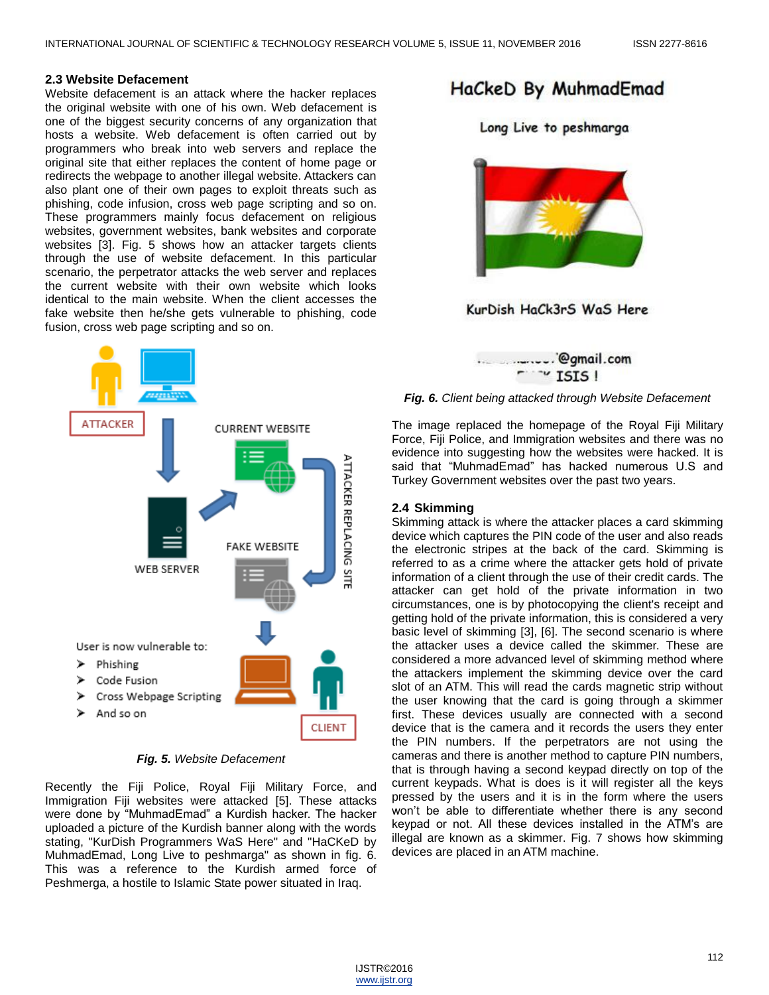#### **2.3 Website Defacement**

Website defacement is an attack where the hacker replaces the original website with one of his own. Web defacement is one of the biggest security concerns of any organization that hosts a website. Web defacement is often carried out by programmers who break into web servers and replace the original site that either replaces the content of home page or redirects the webpage to another illegal website. Attackers can also plant one of their own pages to exploit threats such as phishing, code infusion, cross web page scripting and so on. These programmers mainly focus defacement on religious websites, government websites, bank websites and corporate websites [\[3\]](#page-4-2). Fig. 5 shows how an attacker targets clients through the use of website defacement. In this particular scenario, the perpetrator attacks the web server and replaces the current website with their own website which looks identical to the main website. When the client accesses the fake website then he/she gets vulnerable to phishing, code fusion, cross web page scripting and so on.



*Fig. 5. Website Defacement*

Recently the Fiji Police, Royal Fiji Military Force, and Immigration Fiji websites were attacked [\[5\]](#page-4-4). These attacks were done by "MuhmadEmad" a Kurdish hacker. The hacker uploaded a picture of the Kurdish banner along with the words stating, "KurDish Programmers WaS Here" and "HaCKeD by MuhmadEmad, Long Live to peshmarga" as shown in fig. 6. This was a reference to the Kurdish armed force of Peshmerga, a hostile to Islamic State power situated in Iraq.

# HaCkeD By MuhmadEmad

Long Live to peshmarga



KurDish HaCk3rS WaS Here



#### *Fig. 6. Client being attacked through Website Defacement*

The image replaced the homepage of the Royal Fiji Military Force, Fiji Police, and Immigration websites and there was no evidence into suggesting how the websites were hacked. It is said that "MuhmadEmad" has hacked numerous U.S and Turkey Government websites over the past two years.

#### **2.4 Skimming**

Skimming attack is where the attacker places a card skimming device which captures the PIN code of the user and also reads the electronic stripes at the back of the card. Skimming is referred to as a crime where the attacker gets hold of private information of a client through the use of their credit cards. The attacker can get hold of the private information in two circumstances, one is by photocopying the client's receipt and getting hold of the private information, this is considered a very basic level of skimming [\[3\]](#page-4-2), [\[6\]](#page-4-5). The second scenario is where the attacker uses a device called the skimmer. These are considered a more advanced level of skimming method where the attackers implement the skimming device over the card slot of an ATM. This will read the cards magnetic strip without the user knowing that the card is going through a skimmer first. These devices usually are connected with a second device that is the camera and it records the users they enter the PIN numbers. If the perpetrators are not using the cameras and there is another method to capture PIN numbers, that is through having a second keypad directly on top of the current keypads. What is does is it will register all the keys pressed by the users and it is in the form where the users won't be able to differentiate whether there is any second keypad or not. All these devices installed in the ATM's are illegal are known as a skimmer. Fig. 7 shows how skimming devices are placed in an ATM machine.

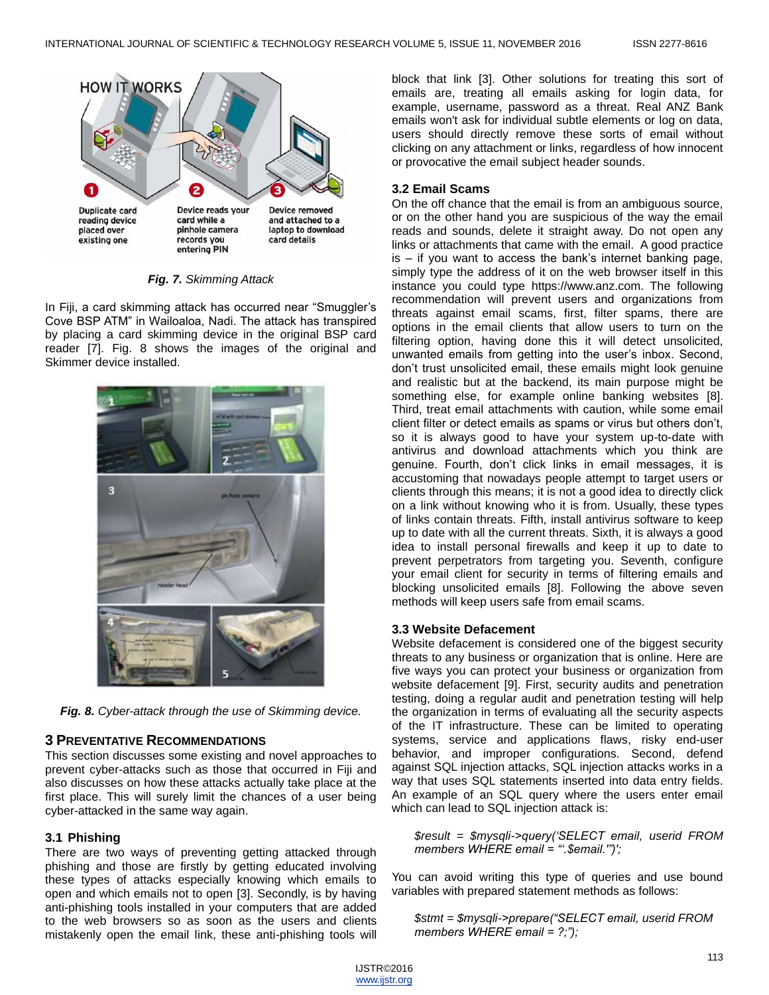

*Fig. 7. Skimming Attack*

In Fiji, a card skimming attack has occurred near "Smuggler's Cove BSP ATM‖ in Wailoaloa, Nadi. The attack has transpired by placing a card skimming device in the original BSP card reader [\[7\]](#page-5-0). Fig. 8 shows the images of the original and Skimmer device installed.



*Fig. 8. Cyber-attack through the use of Skimming device.*

# **3 PREVENTATIVE RECOMMENDATIONS**

This section discusses some existing and novel approaches to prevent cyber-attacks such as those that occurred in Fiji and also discusses on how these attacks actually take place at the first place. This will surely limit the chances of a user being cyber-attacked in the same way again.

# **3.1 Phishing**

There are two ways of preventing getting attacked through phishing and those are firstly by getting educated involving these types of attacks especially knowing which emails to open and which emails not to open [\[3\]](#page-4-2). Secondly, is by having anti-phishing tools installed in your computers that are added to the web browsers so as soon as the users and clients mistakenly open the email link, these anti-phishing tools will block that link [\[3\]](#page-4-2). Other solutions for treating this sort of emails are, treating all emails asking for login data, for example, username, password as a threat. Real ANZ Bank emails won't ask for individual subtle elements or log on data, users should directly remove these sorts of email without clicking on any attachment or links, regardless of how innocent or provocative the email subject header sounds.

# **3.2 Email Scams**

On the off chance that the email is from an ambiguous source, or on the other hand you are suspicious of the way the email reads and sounds, delete it straight away. Do not open any links or attachments that came with the email. A good practice is – if you want to access the bank's internet banking page, simply type the address of it on the web browser itself in this instance you could type https://www.anz.com. The following recommendation will prevent users and organizations from threats against email scams, first, filter spams, there are options in the email clients that allow users to turn on the filtering option, having done this it will detect unsolicited, unwanted emails from getting into the user's inbox. Second, don't trust unsolicited email, these emails might look genuine and realistic but at the backend, its main purpose might be something else, for example online banking websites [\[8\]](#page-5-1). Third, treat email attachments with caution, while some email client filter or detect emails as spams or virus but others don't, so it is always good to have your system up-to-date with antivirus and download attachments which you think are genuine. Fourth, don't click links in email messages, it is accustoming that nowadays people attempt to target users or clients through this means; it is not a good idea to directly click on a link without knowing who it is from. Usually, these types of links contain threats. Fifth, install antivirus software to keep up to date with all the current threats. Sixth, it is always a good idea to install personal firewalls and keep it up to date to prevent perpetrators from targeting you. Seventh, configure your email client for security in terms of filtering emails and blocking unsolicited emails [\[8\]](#page-5-1). Following the above seven methods will keep users safe from email scams.

# **3.3 Website Defacement**

Website defacement is considered one of the biggest security threats to any business or organization that is online. Here are five ways you can protect your business or organization from website defacement [\[9\]](#page-5-2). First, security audits and penetration testing, doing a regular audit and penetration testing will help the organization in terms of evaluating all the security aspects of the IT infrastructure. These can be limited to operating systems, service and applications flaws, risky end-user behavior, and improper configurations. Second, defend against SQL injection attacks, SQL injection attacks works in a way that uses SQL statements inserted into data entry fields. An example of an SQL query where the users enter email which can lead to SQL injection attack is:

*\$result = \$mysqli->query("SELECT email, userid FROM members WHERE email = "".\$email.'")';* 

You can avoid writing this type of queries and use bound variables with prepared statement methods as follows:

*\$stmt = \$mysqli->prepare("SELECT email, userid FROM members WHERE email = ?;");*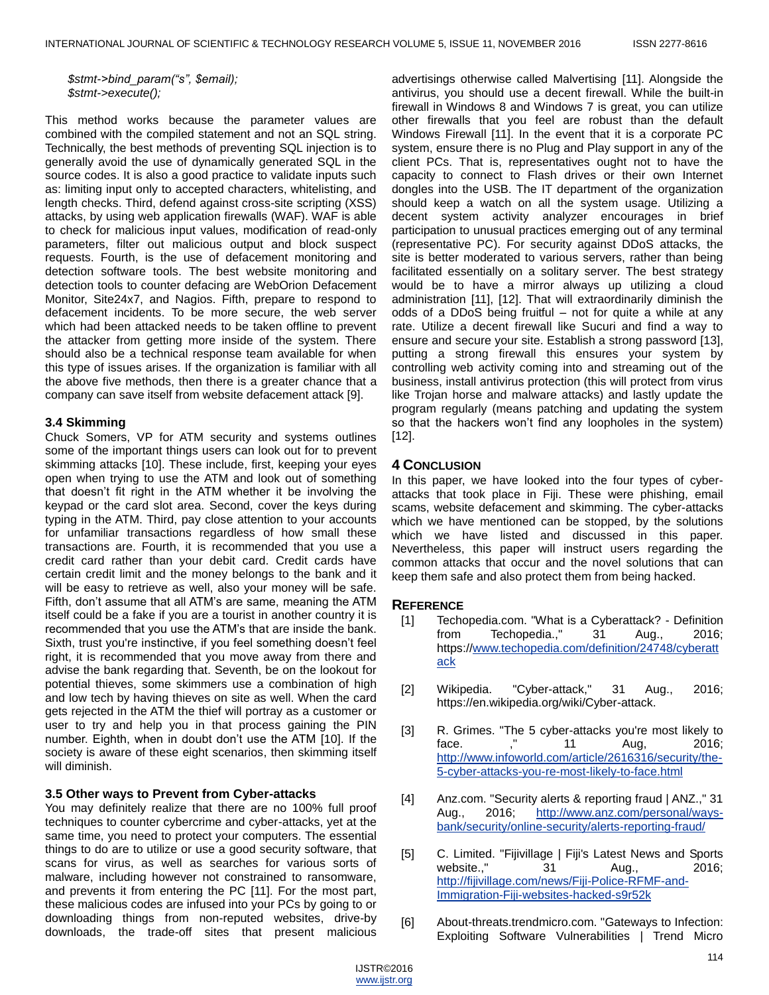*\$stmt->bind\_param("s", \$email); \$stmt->execute();*

This method works because the parameter values are combined with the compiled statement and not an SQL string. Technically, the best methods of preventing SQL injection is to generally avoid the use of dynamically generated SQL in the source codes. It is also a good practice to validate inputs such as: limiting input only to accepted characters, whitelisting, and length checks. Third, defend against cross-site scripting (XSS) attacks, by using web application firewalls (WAF). WAF is able to check for malicious input values, modification of read-only parameters, filter out malicious output and block suspect requests. Fourth, is the use of defacement monitoring and detection software tools. The best website monitoring and detection tools to counter defacing are WebOrion Defacement Monitor, Site24x7, and Nagios. Fifth, prepare to respond to defacement incidents. To be more secure, the web server which had been attacked needs to be taken offline to prevent the attacker from getting more inside of the system. There should also be a technical response team available for when this type of issues arises. If the organization is familiar with all the above five methods, then there is a greater chance that a company can save itself from website defacement attack [\[9\].](#page-5-2)

#### **3.4 Skimming**

Chuck Somers, VP for ATM security and systems outlines some of the important things users can look out for to prevent skimming attacks [\[10\]](#page-5-3). These include, first, keeping your eyes open when trying to use the ATM and look out of something that doesn't fit right in the ATM whether it be involving the keypad or the card slot area. Second, cover the keys during typing in the ATM. Third, pay close attention to your accounts for unfamiliar transactions regardless of how small these transactions are. Fourth, it is recommended that you use a credit card rather than your debit card. Credit cards have certain credit limit and the money belongs to the bank and it will be easy to retrieve as well, also your money will be safe. Fifth, don't assume that all ATM's are same, meaning the ATM itself could be a fake if you are a tourist in another country it is recommended that you use the ATM's that are inside the bank. Sixth, trust you're instinctive, if you feel something doesn't feel right, it is recommended that you move away from there and advise the bank regarding that. Seventh, be on the lookout for potential thieves, some skimmers use a combination of high and low tech by having thieves on site as well. When the card gets rejected in the ATM the thief will portray as a customer or user to try and help you in that process gaining the PIN number. Eighth, when in doubt don't use the ATM [\[10\]](#page-5-3). If the society is aware of these eight scenarios, then skimming itself will diminish.

#### **3.5 Other ways to Prevent from Cyber-attacks**

You may definitely realize that there are no 100% full proof techniques to counter cybercrime and cyber-attacks, yet at the same time, you need to protect your computers. The essential things to do are to utilize or use a good security software, that scans for virus, as well as searches for various sorts of malware, including however not constrained to ransomware, and prevents it from entering the PC [\[11\].](#page-5-4) For the most part, these malicious codes are infused into your PCs by going to or downloading things from non-reputed websites, drive-by downloads, the trade-off sites that present malicious

advertisings otherwise called Malvertising [\[11\]](#page-5-4). Alongside the antivirus, you should use a decent firewall. While the built-in firewall in Windows 8 and Windows 7 is great, you can utilize other firewalls that you feel are robust than the default Windows Firewall [\[11\]](#page-5-4). In the event that it is a corporate PC system, ensure there is no Plug and Play support in any of the client PCs. That is, representatives ought not to have the capacity to connect to Flash drives or their own Internet dongles into the USB. The IT department of the organization should keep a watch on all the system usage. Utilizing a decent system activity analyzer encourages in brief participation to unusual practices emerging out of any terminal (representative PC). For security against DDoS attacks, the site is better moderated to various servers, rather than being facilitated essentially on a solitary server. The best strategy would be to have a mirror always up utilizing a cloud administration [\[11\]](#page-5-4), [\[12\].](#page-5-5) That will extraordinarily diminish the odds of a DDoS being fruitful – not for quite a while at any rate. Utilize a decent firewall like Sucuri and find a way to ensure and secure your site. Establish a strong password [\[13\]](#page-5-6), putting a strong firewall this ensures your system by controlling web activity coming into and streaming out of the business, install antivirus protection (this will protect from virus like Trojan horse and malware attacks) and lastly update the program regularly (means patching and updating the system so that the hackers won't find any loopholes in the system) [\[12\]](#page-5-5).

## **4 CONCLUSION**

In this paper, we have looked into the four types of cyberattacks that took place in Fiji. These were phishing, email scams, website defacement and skimming. The cyber-attacks which we have mentioned can be stopped, by the solutions which we have listed and discussed in this paper. Nevertheless, this paper will instruct users regarding the common attacks that occur and the novel solutions that can keep them safe and also protect them from being hacked.

### **REFERENCE**

- <span id="page-4-0"></span>[1] Techopedia.com. "What is a Cyberattack? - Definition from Techopedia.," 31 Aug., 2016; https:/[/www.techopedia.com/definition/24748/cyberatt](http://www.techopedia.com/definition/24748/cyberattack) [ack](http://www.techopedia.com/definition/24748/cyberattack)
- <span id="page-4-1"></span>[2] Wikipedia. "Cyber-attack," 31 Aug., 2016; https://en.wikipedia.org/wiki/Cyber-attack.
- <span id="page-4-2"></span>[3] R. Grimes. "The 5 cyber-attacks you're most likely to face. ," 11 Aug, 2016; [http://www.infoworld.com/article/2616316/security/the-](http://www.infoworld.com/article/2616316/security/the-5-cyber-attacks-you-re-most-likely-to-face.html)[5-cyber-attacks-you-re-most-likely-to-face.html](http://www.infoworld.com/article/2616316/security/the-5-cyber-attacks-you-re-most-likely-to-face.html)
- <span id="page-4-3"></span>[4] Anz.com. "Security alerts & reporting fraud | ANZ.," 31 Aug., 2016; [http://www.anz.com/personal/ways](http://www.anz.com/personal/ways-bank/security/online-security/alerts-reporting-fraud/)[bank/security/online-security/alerts-reporting-fraud/](http://www.anz.com/personal/ways-bank/security/online-security/alerts-reporting-fraud/)
- <span id="page-4-4"></span>[5] C. Limited. "Fijivillage | Fiji's Latest News and Sports website.," 31 Aug., 2016; [http://fijivillage.com/news/Fiji-Police-RFMF-and-](http://fijivillage.com/news/Fiji-Police-RFMF-and-Immigration-Fiji-websites-hacked-s9r52k)[Immigration-Fiji-websites-hacked-s9r52k](http://fijivillage.com/news/Fiji-Police-RFMF-and-Immigration-Fiji-websites-hacked-s9r52k)
- <span id="page-4-5"></span>[6] About-threats.trendmicro.com. "Gateways to Infection: Exploiting Software Vulnerabilities | Trend Micro